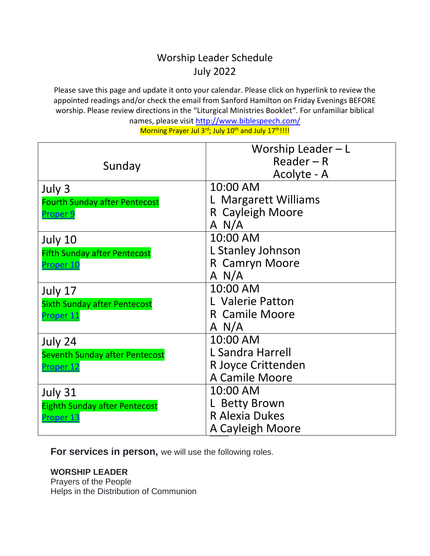## Worship Leader Schedule July 2022

Please save this page and update it onto your calendar. Please click on hyperlink to review the appointed readings and/or check the email from Sanford Hamilton on Friday Evenings BEFORE worship. Please review directions in the "Liturgical Ministries Booklet". For unfamiliar biblical

names, please visit<http://www.biblespeech.com/>

Morning Prayer Jul 3<sup>rd</sup>; July 10<sup>th</sup> and July 17<sup>th</sup>!!!!

|                                      | Worship Leader - L    |
|--------------------------------------|-----------------------|
| Sunday                               | $Reader - R$          |
|                                      | Acolyte - A           |
| July 3                               | 10:00 AM              |
| <b>Fourth Sunday after Pentecost</b> | L Margarett Williams  |
| Proper 9                             | R Cayleigh Moore      |
|                                      | A N/A                 |
| July 10                              | 10:00 AM              |
| <b>Fifth Sunday after Pentecost</b>  | L Stanley Johnson     |
| Proper <sub>10</sub>                 | R Camryn Moore        |
|                                      | A N/A                 |
| July 17                              | 10:00 AM              |
| <b>Sixth Sunday after Pentecost</b>  | L Valerie Patton      |
| Proper 11                            | R Camile Moore        |
|                                      | A N/A                 |
| July 24                              | 10:00 AM              |
| Seventh Sunday after Pentecost       | L Sandra Harrell      |
| Proper <sub>12</sub>                 | R Joyce Crittenden    |
|                                      | A Camile Moore        |
| July 31                              | 10:00 AM              |
| <b>Eighth Sunday after Pentecost</b> | L Betty Brown         |
| Proper 13                            | <b>R Alexia Dukes</b> |
|                                      | A Cayleigh Moore      |

**For services in person, we will use the following roles.** 

**WORSHIP LEADER**

Prayers of the People Helps in the Distribution of Communion